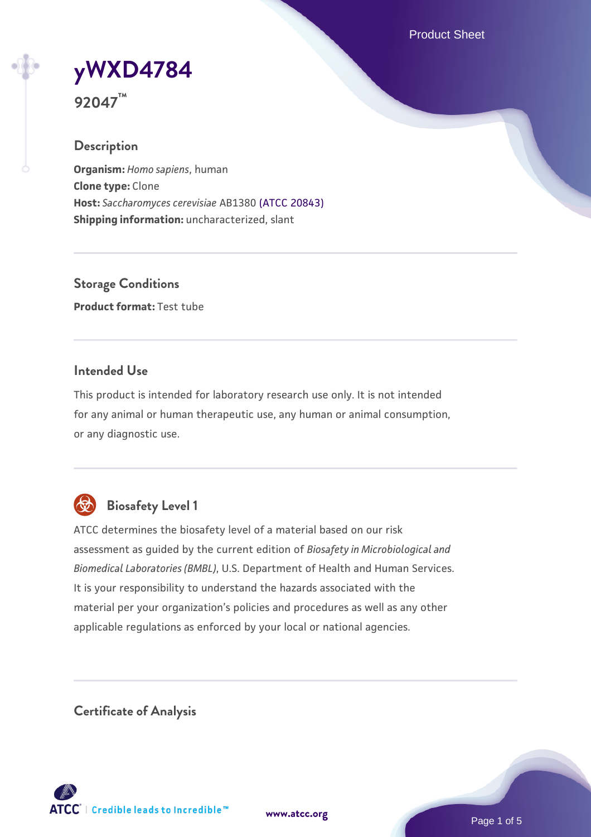Product Sheet

**[yWXD4784](https://www.atcc.org/products/92047)**

**92047™**

### **Description**

**Organism:** *Homo sapiens*, human **Clone type:** Clone **Host:** *Saccharomyces cerevisiae* AB1380 [\(ATCC 20843\)](https://www.atcc.org/products/20843) **Shipping information:** uncharacterized, slant

**Storage Conditions Product format:** Test tube

### **Intended Use**

This product is intended for laboratory research use only. It is not intended for any animal or human therapeutic use, any human or animal consumption, or any diagnostic use.



# **Biosafety Level 1**

ATCC determines the biosafety level of a material based on our risk assessment as guided by the current edition of *Biosafety in Microbiological and Biomedical Laboratories (BMBL)*, U.S. Department of Health and Human Services. It is your responsibility to understand the hazards associated with the material per your organization's policies and procedures as well as any other applicable regulations as enforced by your local or national agencies.

**Certificate of Analysis**

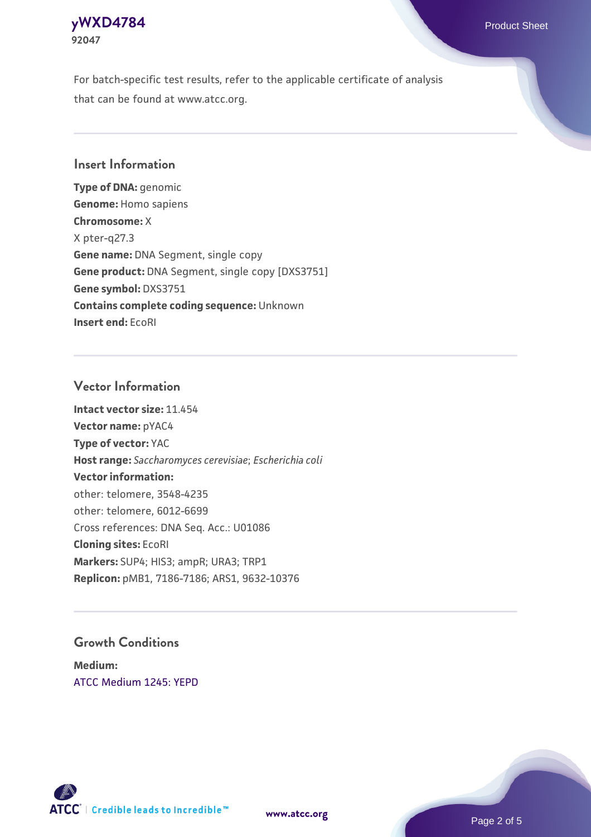### **[yWXD4784](https://www.atcc.org/products/92047)** Product Sheet **92047**

For batch-specific test results, refer to the applicable certificate of analysis that can be found at www.atcc.org.

### **Insert Information**

**Type of DNA:** genomic **Genome:** Homo sapiens **Chromosome:** X X pter-q27.3 **Gene name:** DNA Segment, single copy **Gene product:** DNA Segment, single copy [DXS3751] **Gene symbol:** DXS3751 **Contains complete coding sequence:** Unknown **Insert end:** EcoRI

### **Vector Information**

**Intact vector size:** 11.454 **Vector name:** pYAC4 **Type of vector:** YAC **Host range:** *Saccharomyces cerevisiae*; *Escherichia coli* **Vector information:** other: telomere, 3548-4235 other: telomere, 6012-6699 Cross references: DNA Seq. Acc.: U01086 **Cloning sites:** EcoRI **Markers:** SUP4; HIS3; ampR; URA3; TRP1 **Replicon:** pMB1, 7186-7186; ARS1, 9632-10376

### **Growth Conditions**

**Medium:**  [ATCC Medium 1245: YEPD](https://www.atcc.org/-/media/product-assets/documents/microbial-media-formulations/1/2/4/5/atcc-medium-1245.pdf?rev=705ca55d1b6f490a808a965d5c072196)



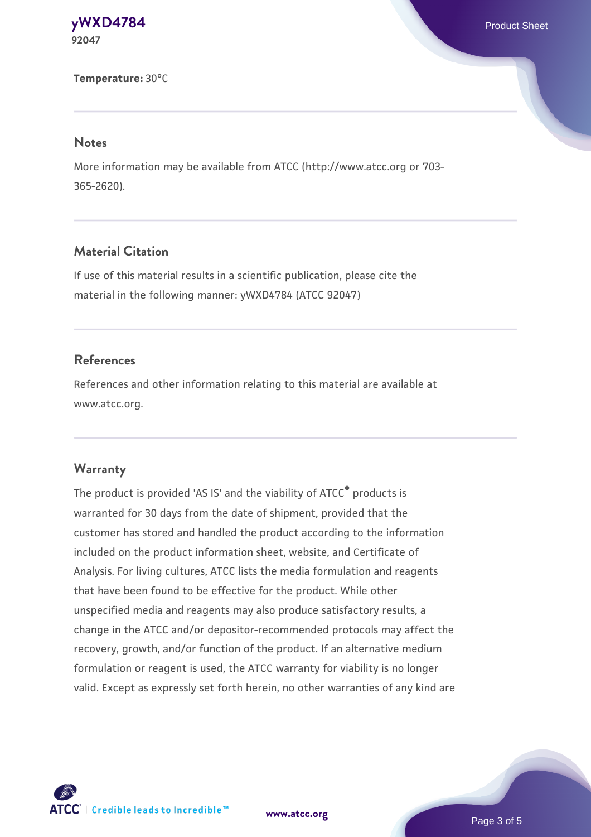#### **[yWXD4784](https://www.atcc.org/products/92047)** Product Sheet **92047**

#### **Temperature:** 30°C

#### **Notes**

More information may be available from ATCC (http://www.atcc.org or 703- 365-2620).

### **Material Citation**

If use of this material results in a scientific publication, please cite the material in the following manner: yWXD4784 (ATCC 92047)

### **References**

References and other information relating to this material are available at www.atcc.org.

#### **Warranty**

The product is provided 'AS IS' and the viability of ATCC® products is warranted for 30 days from the date of shipment, provided that the customer has stored and handled the product according to the information included on the product information sheet, website, and Certificate of Analysis. For living cultures, ATCC lists the media formulation and reagents that have been found to be effective for the product. While other unspecified media and reagents may also produce satisfactory results, a change in the ATCC and/or depositor-recommended protocols may affect the recovery, growth, and/or function of the product. If an alternative medium formulation or reagent is used, the ATCC warranty for viability is no longer valid. Except as expressly set forth herein, no other warranties of any kind are

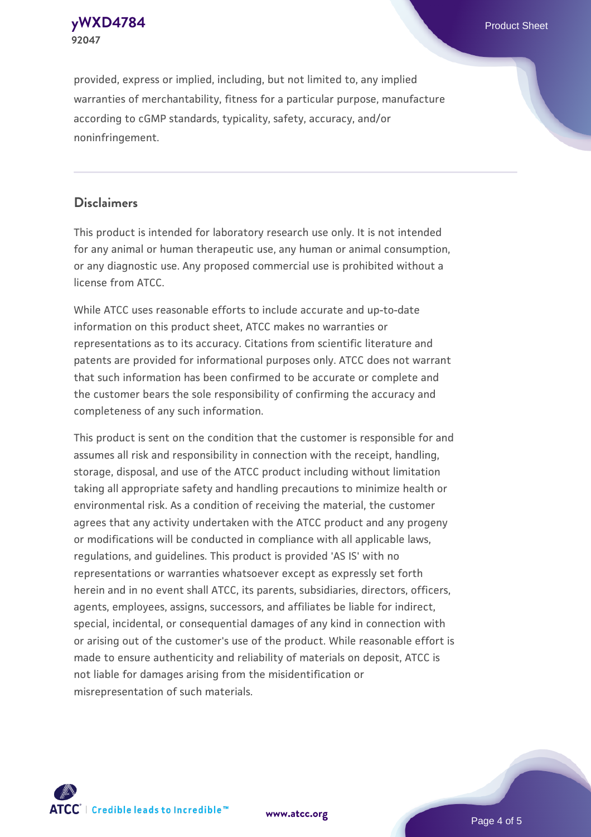**92047**

provided, express or implied, including, but not limited to, any implied warranties of merchantability, fitness for a particular purpose, manufacture according to cGMP standards, typicality, safety, accuracy, and/or noninfringement.

### **Disclaimers**

This product is intended for laboratory research use only. It is not intended for any animal or human therapeutic use, any human or animal consumption, or any diagnostic use. Any proposed commercial use is prohibited without a license from ATCC.

While ATCC uses reasonable efforts to include accurate and up-to-date information on this product sheet, ATCC makes no warranties or representations as to its accuracy. Citations from scientific literature and patents are provided for informational purposes only. ATCC does not warrant that such information has been confirmed to be accurate or complete and the customer bears the sole responsibility of confirming the accuracy and completeness of any such information.

This product is sent on the condition that the customer is responsible for and assumes all risk and responsibility in connection with the receipt, handling, storage, disposal, and use of the ATCC product including without limitation taking all appropriate safety and handling precautions to minimize health or environmental risk. As a condition of receiving the material, the customer agrees that any activity undertaken with the ATCC product and any progeny or modifications will be conducted in compliance with all applicable laws, regulations, and guidelines. This product is provided 'AS IS' with no representations or warranties whatsoever except as expressly set forth herein and in no event shall ATCC, its parents, subsidiaries, directors, officers, agents, employees, assigns, successors, and affiliates be liable for indirect, special, incidental, or consequential damages of any kind in connection with or arising out of the customer's use of the product. While reasonable effort is made to ensure authenticity and reliability of materials on deposit, ATCC is not liable for damages arising from the misidentification or misrepresentation of such materials.



**[www.atcc.org](http://www.atcc.org)**

Page 4 of 5